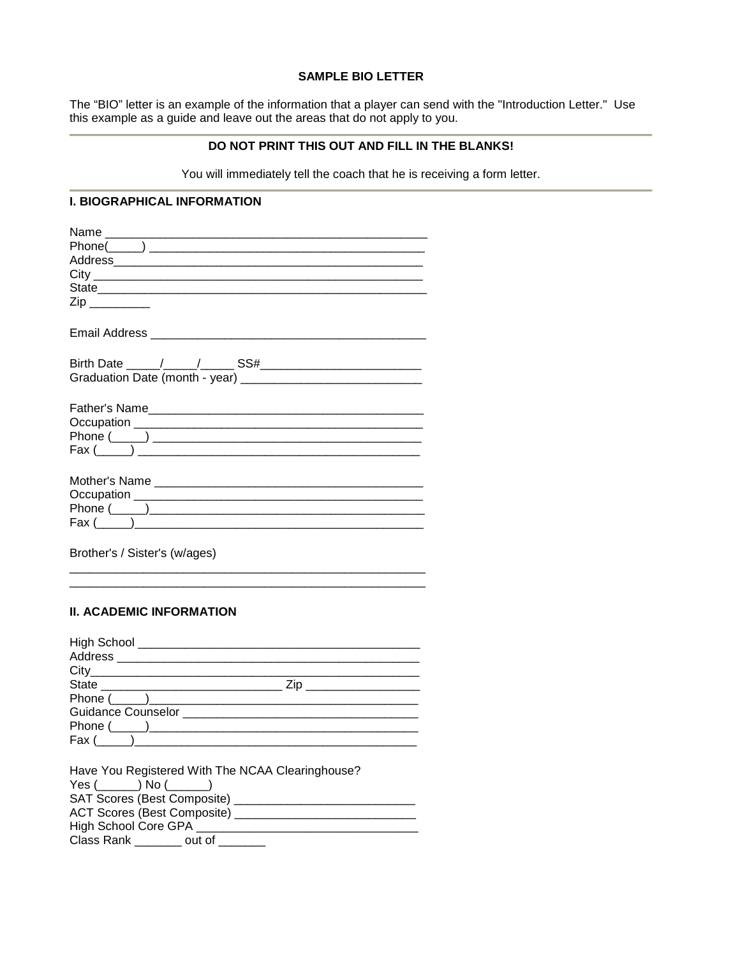### **SAMPLE BIO LETTER**

The "BIO" letter is an example of the information that a player can send with the "Introduction Letter." Use this example as a guide and leave out the areas that do not apply to you.

## **DO NOT PRINT THIS OUT AND FILL IN THE BLANKS!**

You will immediately tell the coach that he is receiving a form letter.

#### **I. BIOGRAPHICAL INFORMATION**

| Name                                           |
|------------------------------------------------|
|                                                |
|                                                |
|                                                |
|                                                |
| $\mathsf{Zip} \_\_$                            |
|                                                |
|                                                |
|                                                |
|                                                |
|                                                |
| $\text{Fax} (\_\_\_\_) \_\_\_\_\_\_\_\_\_\_\_$ |
|                                                |
|                                                |
|                                                |
| $\text{Fax}$ ( )                               |
|                                                |

Brother's / Sister's (w/ages) \_\_\_\_\_\_\_\_\_\_\_\_\_\_\_\_\_\_\_\_\_\_\_\_\_\_\_\_\_\_\_\_\_\_\_\_\_\_\_\_\_\_\_\_\_\_\_\_\_\_\_\_\_

## **II. ACADEMIC INFORMATION**

| <b>High School</b>                     |      |
|----------------------------------------|------|
| Address ______________________________ |      |
|                                        |      |
| State                                  | Zip. |
| Phone $(\_\_)$                         |      |
|                                        |      |
|                                        |      |
|                                        |      |

\_\_\_\_\_\_\_\_\_\_\_\_\_\_\_\_\_\_\_\_\_\_\_\_\_\_\_\_\_\_\_\_\_\_\_\_\_\_\_\_\_\_\_\_\_\_\_\_\_\_\_\_\_

| Have You Registered With The NCAA Clearinghouse? |
|--------------------------------------------------|
| $Yes (\_\_\) No (\_\_\_\))$                      |
| SAT Scores (Best Composite) ___                  |
| ACT Scores (Best Composite) _                    |
| High School Core GPA __                          |
| Class Rank out of                                |